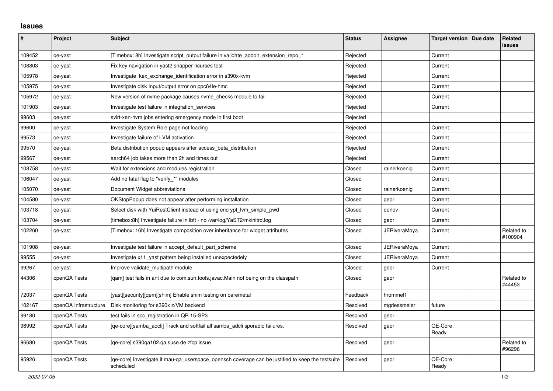## **Issues**

| ∦      | Project               | <b>Subject</b>                                                                                                 | <b>Status</b> | <b>Assignee</b>     | Target version   Due date | Related<br><b>issues</b> |
|--------|-----------------------|----------------------------------------------------------------------------------------------------------------|---------------|---------------------|---------------------------|--------------------------|
| 109452 | qe-yast               | [Timebox: 8h] Investigate script_output failure in validate_addon_extension_repo_*                             | Rejected      |                     | Current                   |                          |
| 108803 | qe-yast               | Fix key navigation in yast2 snapper ncurses test                                                               | Rejected      |                     | Current                   |                          |
| 105978 | qe-yast               | Investigate kex exchange identification error in s390x-kvm                                                     | Rejected      |                     | Current                   |                          |
| 105975 | qe-yast               | Investigate disk Input/output error on ppc64le-hmc                                                             | Rejected      |                     | Current                   |                          |
| 105972 | qe-yast               | New version of nyme package causes nyme checks module to fail                                                  | Rejected      |                     | Current                   |                          |
| 101903 | qe-yast               | Investigate test failure in integration_services                                                               | Rejected      |                     | Current                   |                          |
| 99603  | qe-yast               | svirt-xen-hvm jobs entering emergency mode in first boot                                                       | Rejected      |                     |                           |                          |
| 99600  | qe-yast               | Investigate System Role page not loading                                                                       | Rejected      |                     | Current                   |                          |
| 99573  | qe-yast               | Investigate failure of LVM activation                                                                          | Rejected      |                     | Current                   |                          |
| 99570  | qe-yast               | Beta distribution popup appears after access beta distribution                                                 | Rejected      |                     | Current                   |                          |
| 99567  | qe-yast               | aarch64 job takes more than 2h and times out                                                                   | Rejected      |                     | Current                   |                          |
| 108758 | qe-yast               | Wait for extensions and modules registration                                                                   | Closed        | rainerkoenig        | Current                   |                          |
| 106047 | qe-yast               | Add no fatal flag to "verify_*" modules                                                                        | Closed        |                     | Current                   |                          |
| 105070 | qe-yast               | Document Widget abbreviations                                                                                  | Closed        | rainerkoenig        | Current                   |                          |
| 104580 | qe-yast               | OKStopPopup does not appear after performing installation                                                      | Closed        | geor                | Current                   |                          |
| 103718 | qe-yast               | Select disk with YuiRestClient instead of using encrypt_lvm_simple_pwd                                         | Closed        | oorlov              | Current                   |                          |
| 103704 | qe-yast               | [timebox:8h] Investigate failure in ibft - no /var/log/YaST2/mkinitrd.log                                      | Closed        | geor                | Current                   |                          |
| 102260 | qe-yast               | [Timebox: 16h] Investigate composition over inheritance for widget attributes                                  | Closed        | <b>JERiveraMoya</b> | Current                   | Related to<br>#100904    |
| 101908 | qe-yast               | Investigate test failure in accept_default_part_scheme                                                         | Closed        | <b>JERiveraMoya</b> | Current                   |                          |
| 99555  | qe-yast               | Investigate x11_yast pattern being installed unexpectedely                                                     | Closed        | <b>JERiveraMoya</b> | Current                   |                          |
| 99267  | qe-yast               | Improve validate_multipath module                                                                              | Closed        | geor                | Current                   |                          |
| 44306  | openQA Tests          | [gam] test fails in ant due to com.sun.tools.javac.Main not being on the classpath                             | Closed        | geor                |                           | Related to<br>#44453     |
| 72037  | openQA Tests          | [yast][security][gem][shim] Enable shim testing on baremetal                                                   | Feedback      | hrommel1            |                           |                          |
| 102167 | openQA Infrastructure | Disk monitoring for s390x z/VM backend                                                                         | Resolved      | mgriessmeier        | future                    |                          |
| 99180  | openQA Tests          | test fails in scc registration in QR 15-SP3                                                                    | Resolved      | geor                |                           |                          |
| 96992  | openQA Tests          | [qe-core][samba_adcli] Track and softfail all samba_adcli sporadic failures.                                   | Resolved      | geor                | QE-Core:<br>Ready         |                          |
| 96680  | openQA Tests          | [qe-core] s390qa102.qa.suse.de zfcp issue                                                                      | Resolved      | geor                |                           | Related to<br>#96296     |
| 95926  | openQA Tests          | [qe-core] Investigate if mau-qa_userspace_openssh coverage can be justified to keep the testsuite<br>scheduled | Resolved      | geor                | QE-Core:<br>Ready         |                          |